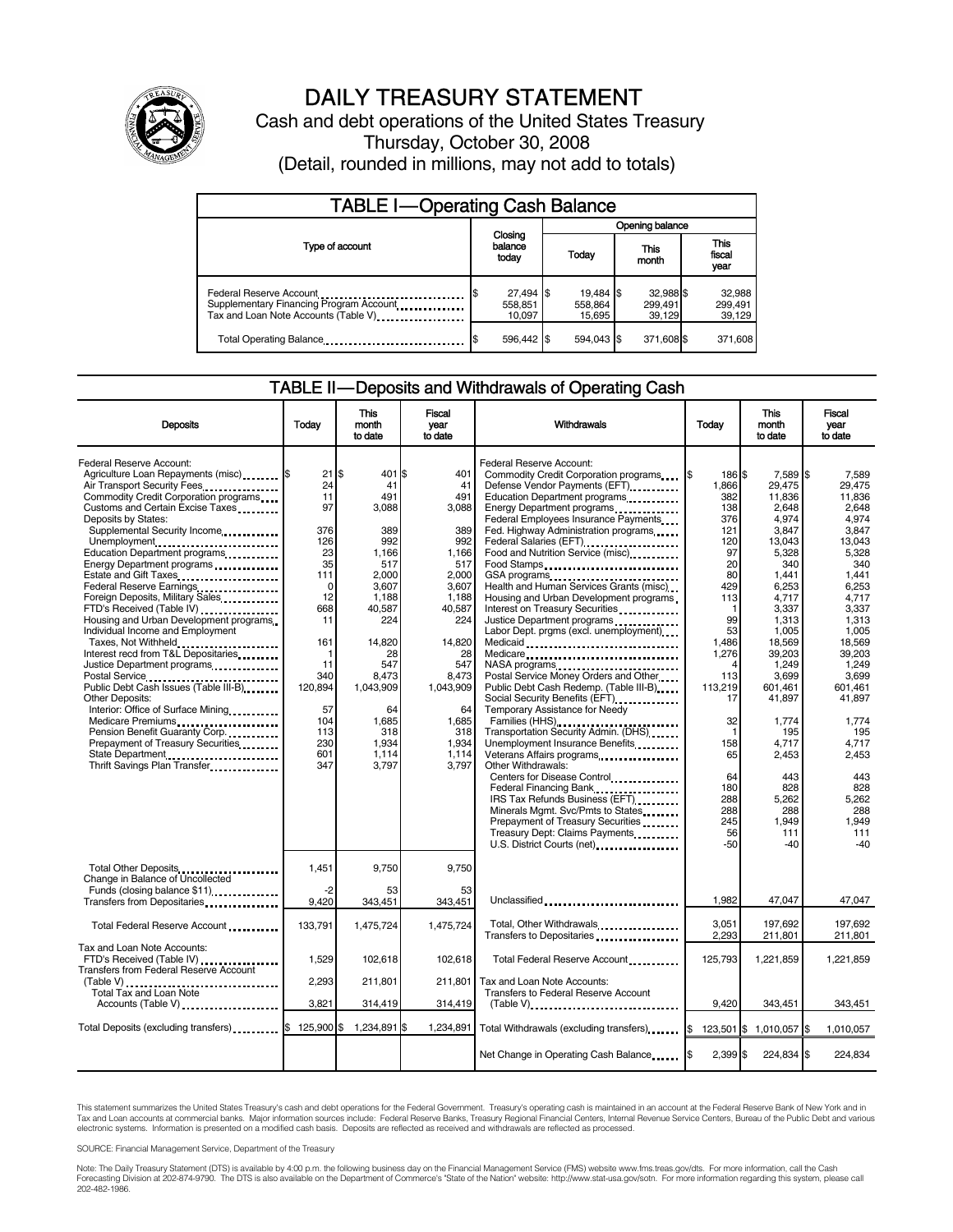

# DAILY TREASURY STATEMENT

Cash and debt operations of the United States Treasury Thursday, October 30, 2008 (Detail, rounded in millions, may not add to totals)

| <b>TABLE I-Operating Cash Balance</b>                                                                       |                                |                                   |                                |                               |  |  |  |  |  |
|-------------------------------------------------------------------------------------------------------------|--------------------------------|-----------------------------------|--------------------------------|-------------------------------|--|--|--|--|--|
|                                                                                                             |                                | Opening balance                   |                                |                               |  |  |  |  |  |
| Type of account                                                                                             | Closing<br>balance<br>today    | Today                             | This<br>month                  | <b>This</b><br>fiscal<br>year |  |  |  |  |  |
| Federal Reserve Account<br>Supplementary Financing Program Account<br>Tax and Loan Note Accounts (Table V). | 27,494 \$<br>558.851<br>10.097 | $19.484$ \\$<br>558.864<br>15,695 | 32,988 \$<br>299,491<br>39.129 | 32,988<br>299,491<br>39,129   |  |  |  |  |  |
| Total Operating Balance                                                                                     | 596.442 \$                     | 594.043 \$                        | 371,608 \$                     | 371,608                       |  |  |  |  |  |

#### TABLE II — Deposits and Withdrawals of Operating Cash

| <b>Deposits</b>                                                                                                                                                                                                                                                                                                                                                                                                                                                                                                                                                                                                                                                                                                                                                                                                                                           | Today                                                                                                                                                           | <b>This</b><br>month<br>to date                                                                                                                                                                            | <b>Fiscal</b><br>year<br>to date                                                                                                                                                                  | Withdrawals                                                                                                                                                                                                                                                                                                                                                                                                                                                                                                                                                                                                                                                                                                                                                                                                                                                                         | Todav                                                                                                                                                                                   | <b>This</b><br>month<br>to date                                                                                                                                                                                                      | <b>Fiscal</b><br>year<br>to date                                                                                                                                                                                                  |
|-----------------------------------------------------------------------------------------------------------------------------------------------------------------------------------------------------------------------------------------------------------------------------------------------------------------------------------------------------------------------------------------------------------------------------------------------------------------------------------------------------------------------------------------------------------------------------------------------------------------------------------------------------------------------------------------------------------------------------------------------------------------------------------------------------------------------------------------------------------|-----------------------------------------------------------------------------------------------------------------------------------------------------------------|------------------------------------------------------------------------------------------------------------------------------------------------------------------------------------------------------------|---------------------------------------------------------------------------------------------------------------------------------------------------------------------------------------------------|-------------------------------------------------------------------------------------------------------------------------------------------------------------------------------------------------------------------------------------------------------------------------------------------------------------------------------------------------------------------------------------------------------------------------------------------------------------------------------------------------------------------------------------------------------------------------------------------------------------------------------------------------------------------------------------------------------------------------------------------------------------------------------------------------------------------------------------------------------------------------------------|-----------------------------------------------------------------------------------------------------------------------------------------------------------------------------------------|--------------------------------------------------------------------------------------------------------------------------------------------------------------------------------------------------------------------------------------|-----------------------------------------------------------------------------------------------------------------------------------------------------------------------------------------------------------------------------------|
| Federal Reserve Account:<br>Agriculture Loan Repayments (misc) [5<br>Air Transport Security Fees<br>Commodity Credit Corporation programs<br>Customs and Certain Excise Taxes<br>Deposits by States:<br>Supplemental Security Income<br>Unemployment<br>Education Department programs<br>Energy Department programs<br>Federal Reserve Earnings<br>Foreign Deposits, Military Sales.<br>FTD's Received (Table IV)<br>Housing and Urban Development programs<br>Individual Income and Employment<br>Taxes, Not Withheld<br>Interest recd from T&L Depositaries<br>Justice Department programs<br><br>Public Debt Cash Issues (Table III-B)<br><b>Other Deposits:</b><br>Interior: Office of Surface Mining<br>Medicare Premiums<br>Pension Benefit Guaranty Corp.<br>Prepayment of Treasury Securities<br>State Department<br>Thrift Savings Plan Transfer | 21<br>24<br>11<br>97<br>376<br>126<br>23<br>35<br>111<br>$\mathbf 0$<br>12<br>668<br>11<br>161<br>11<br>340<br>120,894<br>57<br>104<br>113<br>230<br>601<br>347 | \$<br>401 \$<br>41<br>491<br>3.088<br>389<br>992<br>1.166<br>517<br>2,000<br>3,607<br>1.188<br>40.587<br>224<br>14.820<br>28<br>547<br>8,473<br>1,043,909<br>64<br>1.685<br>318<br>1,934<br>1,114<br>3,797 | 401<br>41<br>491<br>3.088<br>389<br>992<br>1.166<br>517<br>2,000<br>3,607<br>1.188<br>40,587<br>224<br>14.820<br>28<br>547<br>8,473<br>1,043,909<br>64<br>1.685<br>318<br>1,934<br>1.114<br>3.797 | Federal Reserve Account:<br>Commodity Credit Corporation programs<br>Defense Vendor Payments (EFT)<br>Education Department programs<br>Energy Department programs<br>Federal Employees Insurance Payments<br>Fed. Highway Administration programs<br>Federal Salaries (EFT)<br>Food and Nutrition Service (misc)<br>Food Stamps<br>GSA programs<br>Health and Human Services Grants (misc)<br>Housing and Urban Development programs<br>Interest on Treasury Securities<br>Justice Department programs<br>Labor Dept. prgms (excl. unemployment)<br>Medicaid<br>Medicare<br>Postal Service Money Orders and Other<br>Public Debt Cash Redemp. (Table III-B)<br>Social Security Benefits (EFT)<br>Temporary Assistance for Needy<br>Families (HHS)<br>Transportation Security Admin. (DHS)<br>Unemployment Insurance Benefits<br>Veterans Affairs programs<br><br>Other Withdrawals: | l\$<br>186 \$<br>1,866<br>382<br>138<br>376<br>121<br>120<br>97<br>20<br>80<br>429<br>113<br>99<br>53<br>1.486<br>1,276<br>Δ<br>113<br>113,219<br>17<br>32<br>$\mathbf{1}$<br>158<br>65 | 7,589 \$<br>29.475<br>11.836<br>2.648<br>4.974<br>3,847<br>13.043<br>5,328<br>340<br>1,441<br>6,253<br>4,717<br>3,337<br>1.313<br>1,005<br>18,569<br>39,203<br>1.249<br>3,699<br>601,461<br>41.897<br>1.774<br>195<br>4,717<br>2,453 | 7.589<br>29.475<br>11.836<br>2.648<br>4.974<br>3.847<br>13.043<br>5.328<br>340<br>1,441<br>6.253<br>4.717<br>3.337<br>1.313<br>1,005<br>18.569<br>39.203<br>1.249<br>3,699<br>601,461<br>41,897<br>1.774<br>195<br>4,717<br>2.453 |
|                                                                                                                                                                                                                                                                                                                                                                                                                                                                                                                                                                                                                                                                                                                                                                                                                                                           |                                                                                                                                                                 |                                                                                                                                                                                                            |                                                                                                                                                                                                   | Centers for Disease Control<br>Federal Financing Bank<br>IRS Tax Refunds Business (EFT)<br>Minerals Mgmt. Svc/Pmts to States<br>Prepayment of Treasury Securities<br>Treasury Dept: Claims Payments<br>U.S. District Courts (net)                                                                                                                                                                                                                                                                                                                                                                                                                                                                                                                                                                                                                                                   | 64<br>180<br>288<br>288<br>245<br>56<br>-50                                                                                                                                             | 443<br>828<br>5,262<br>288<br>1.949<br>111<br>$-40$                                                                                                                                                                                  | 443<br>828<br>5,262<br>288<br>1.949<br>111<br>$-40$                                                                                                                                                                               |
| Total Other Deposits<br>Change in Balance of Uncollected                                                                                                                                                                                                                                                                                                                                                                                                                                                                                                                                                                                                                                                                                                                                                                                                  | 1,451                                                                                                                                                           | 9,750                                                                                                                                                                                                      | 9,750                                                                                                                                                                                             |                                                                                                                                                                                                                                                                                                                                                                                                                                                                                                                                                                                                                                                                                                                                                                                                                                                                                     |                                                                                                                                                                                         |                                                                                                                                                                                                                                      |                                                                                                                                                                                                                                   |
| Funds (closing balance \$11)                                                                                                                                                                                                                                                                                                                                                                                                                                                                                                                                                                                                                                                                                                                                                                                                                              | -2<br>9,420                                                                                                                                                     | 53<br>343,451                                                                                                                                                                                              | 53<br>343,451                                                                                                                                                                                     | Unclassified                                                                                                                                                                                                                                                                                                                                                                                                                                                                                                                                                                                                                                                                                                                                                                                                                                                                        | 1,982                                                                                                                                                                                   | 47,047                                                                                                                                                                                                                               | 47,047                                                                                                                                                                                                                            |
| Total Federal Reserve Account                                                                                                                                                                                                                                                                                                                                                                                                                                                                                                                                                                                                                                                                                                                                                                                                                             | 133,791                                                                                                                                                         | 1,475,724                                                                                                                                                                                                  | 1.475.724                                                                                                                                                                                         | Total, Other Withdrawals<br>Transfers to Depositaries                                                                                                                                                                                                                                                                                                                                                                                                                                                                                                                                                                                                                                                                                                                                                                                                                               | 3,051<br>2,293                                                                                                                                                                          | 197,692<br>211,801                                                                                                                                                                                                                   | 197,692<br>211,801                                                                                                                                                                                                                |
| Tax and Loan Note Accounts:<br>FTD's Received (Table IV)<br>Transfers from Federal Reserve Account                                                                                                                                                                                                                                                                                                                                                                                                                                                                                                                                                                                                                                                                                                                                                        | 1,529                                                                                                                                                           | 102,618                                                                                                                                                                                                    | 102,618                                                                                                                                                                                           | Total Federal Reserve Account                                                                                                                                                                                                                                                                                                                                                                                                                                                                                                                                                                                                                                                                                                                                                                                                                                                       | 125,793                                                                                                                                                                                 | 1,221,859                                                                                                                                                                                                                            | 1,221,859                                                                                                                                                                                                                         |
| Total Tax and Loan Note<br>Accounts (Table V)                                                                                                                                                                                                                                                                                                                                                                                                                                                                                                                                                                                                                                                                                                                                                                                                             | 2,293<br>3,821                                                                                                                                                  | 211.801<br>314,419                                                                                                                                                                                         | 211.801<br>314,419                                                                                                                                                                                | Tax and Loan Note Accounts:<br><b>Transfers to Federal Reserve Account</b>                                                                                                                                                                                                                                                                                                                                                                                                                                                                                                                                                                                                                                                                                                                                                                                                          | 9,420                                                                                                                                                                                   | 343,451                                                                                                                                                                                                                              | 343,451                                                                                                                                                                                                                           |
|                                                                                                                                                                                                                                                                                                                                                                                                                                                                                                                                                                                                                                                                                                                                                                                                                                                           |                                                                                                                                                                 |                                                                                                                                                                                                            |                                                                                                                                                                                                   |                                                                                                                                                                                                                                                                                                                                                                                                                                                                                                                                                                                                                                                                                                                                                                                                                                                                                     |                                                                                                                                                                                         |                                                                                                                                                                                                                                      |                                                                                                                                                                                                                                   |
| Total Deposits (excluding transfers) \$ 125,900 \$                                                                                                                                                                                                                                                                                                                                                                                                                                                                                                                                                                                                                                                                                                                                                                                                        |                                                                                                                                                                 | 1,234,891 \$                                                                                                                                                                                               | 1,234,891                                                                                                                                                                                         | Total Withdrawals (excluding transfers)                                                                                                                                                                                                                                                                                                                                                                                                                                                                                                                                                                                                                                                                                                                                                                                                                                             | l\$                                                                                                                                                                                     | 123,501 \$ 1,010,057 \$                                                                                                                                                                                                              | 1,010,057                                                                                                                                                                                                                         |
|                                                                                                                                                                                                                                                                                                                                                                                                                                                                                                                                                                                                                                                                                                                                                                                                                                                           |                                                                                                                                                                 |                                                                                                                                                                                                            |                                                                                                                                                                                                   | Net Change in Operating Cash Balance                                                                                                                                                                                                                                                                                                                                                                                                                                                                                                                                                                                                                                                                                                                                                                                                                                                | l\$<br>2,399 \$                                                                                                                                                                         | 224,834 \$                                                                                                                                                                                                                           | 224.834                                                                                                                                                                                                                           |

This statement summarizes the United States Treasury's cash and debt operations for the Federal Government. Treasury's operating cash is maintained in an account at the Federal Reserve Bank of New York and in<br>Tax and Loan electronic systems. Information is presented on a modified cash basis. Deposits are reflected as received and withdrawals are reflected as processed.

SOURCE: Financial Management Service, Department of the Treasury

Note: The Daily Treasury Statement (DTS) is available by 4:00 p.m. the following business day on the Financial Management Service (FMS) website www.fms.treas.gov/dts. For more information, call the Cash<br>Forecasting Divisio 202-482-1986.